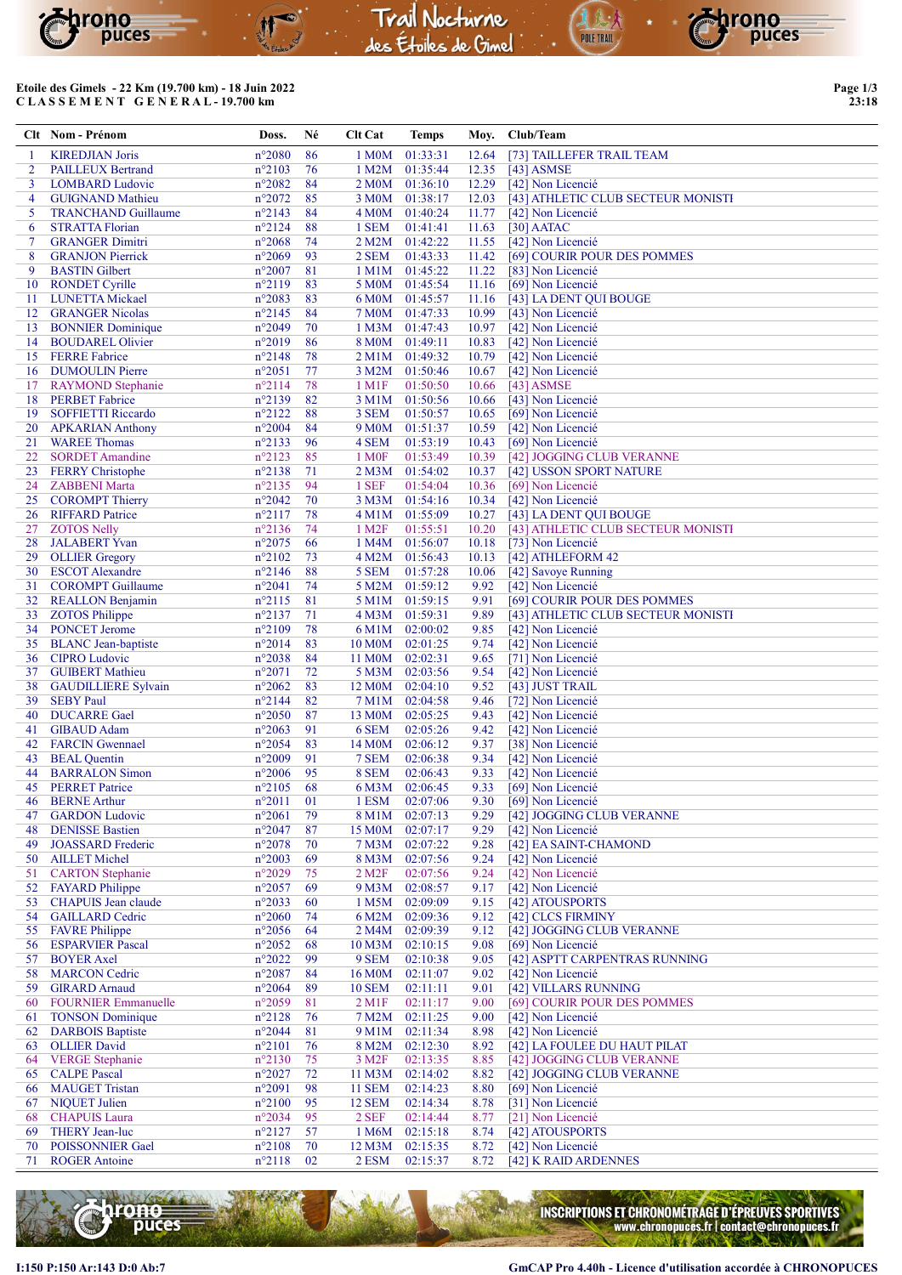

### Etoile des Gimels - 22 Km (19.700 km) - 18 Juin 2022 C L A S S E M E N T G E N E R A L - 19.700 km

Page 1/3 23:18

|          | Clt Nom - Prénom                                     | Doss.                              | Né       | Clt Cat                | Temps                      | Moy.           | Club/Team                                      |
|----------|------------------------------------------------------|------------------------------------|----------|------------------------|----------------------------|----------------|------------------------------------------------|
| -1       | <b>KIREDJIAN Joris</b>                               | $n^{\circ}2080$                    | 86       | 1 M <sub>0</sub> M     | 01:33:31                   | 12.64          | [73] TAILLEFER TRAIL TEAM                      |
| 2        | <b>PAILLEUX Bertrand</b>                             | $n^{\circ}2103$                    | 76       | 1 M2M                  | 01:35:44                   | 12.35          | $[43]$ ASMSE                                   |
| 3        | <b>LOMBARD</b> Ludovic                               | $n^{\circ}2082$                    | 84       | 2 M <sub>0</sub> M     | 01:36:10                   | 12.29          | [42] Non Licencié                              |
| 4        | <b>GUIGNAND Mathieu</b>                              | $n^{\circ}2072$                    | 85       | 3 M <sub>0</sub> M     | 01:38:17                   | 12.03          | [43] ATHLETIC CLUB SECTEUR MONISTI             |
| 5        | <b>TRANCHAND Guillaume</b>                           | $n^{\circ}2143$                    | 84       | 4 M <sub>0</sub> M     | 01:40:24                   | 11.77          | [42] Non Licencié                              |
| 6        | <b>STRATTA Florian</b>                               | $n^{\circ}2124$                    | 88       | 1 SEM                  | 01:41:41                   | 11.63          | $[30]$ AATAC                                   |
| 7        | <b>GRANGER Dimitri</b>                               | $n^{\circ}2068$                    | 74       | 2 M2M                  | 01:42:22                   | 11.55          | [42] Non Licencié                              |
| 8        | <b>GRANJON Pierrick</b>                              | $n^{\circ}2069$                    | 93       | 2 SEM                  | 01:43:33                   | 11.42          | [69] COURIR POUR DES POMMES                    |
| 9        | <b>BASTIN</b> Gilbert                                | $n^{\circ}2007$                    | 81       | $1$ M $1$ M            | 01:45:22                   | 11.22          | [83] Non Licencié                              |
| 10       | <b>RONDET Cyrille</b>                                | $n^{\circ}2119$                    | 83       | 5 M0M                  | 01:45:54                   | 11.16          | [69] Non Licencié                              |
| 11       | <b>LUNETTA Mickael</b>                               | $n^{\circ}2083$                    | 83       | 6 M0M                  | 01:45:57                   | 11.16          | [43] LA DENT QUI BOUGE                         |
| 12       | <b>GRANGER Nicolas</b>                               | $n^{\circ}2145$                    | 84       | 7 M0M                  | 01:47:33                   | 10.99          | [43] Non Licencié                              |
| 13       | <b>BONNIER Dominique</b>                             | $n^{\circ}2049$                    | 70       | 1 M3M                  | 01:47:43                   | 10.97          | [42] Non Licencié                              |
| 14       | <b>BOUDAREL Olivier</b>                              | $n^{\circ}2019$                    | 86       | <b>8 M0M</b>           | 01:49:11                   | 10.83          | [42] Non Licencié                              |
| 15       | <b>FERRE Fabrice</b>                                 | $n^{\circ}2148$                    | 78       | $2$ M $1$ M            | 01:49:32                   | 10.79          | [42] Non Licencié                              |
| 16       | <b>DUMOULIN Pierre</b>                               | $n^{\circ}2051$                    | 77       | 3 M2M                  | 01:50:46                   | 10.67          | [42] Non Licencié                              |
| 17       | <b>RAYMOND</b> Stephanie                             | n°2114                             | 78       | 1 M1F                  | 01:50:50                   | 10.66          | $[43]$ ASMSE                                   |
| 18       | <b>PERBET</b> Fabrice                                | n°2139<br>$n^{\circ}2122$          | 82<br>88 | 3 M1M<br>3 SEM         | 01:50:56                   | 10.66<br>10.65 | [43] Non Licencié<br>[69] Non Licencié         |
| 19<br>20 | <b>SOFFIETTI Riccardo</b><br><b>APKARIAN Anthony</b> | $n^{\circ}2004$                    | 84       | 9 M <sub>0</sub> M     | 01:50:57<br>01:51:37       | 10.59          | [42] Non Licencié                              |
| 21       | <b>WAREE Thomas</b>                                  | $n^{\circ}2133$                    | 96       | 4 SEM                  | 01:53:19                   | 10.43          | [69] Non Licencié                              |
| 22       | <b>SORDET</b> Amandine                               | $n^{\circ}2123$                    | 85       | 1 M <sub>OF</sub>      | 01:53:49                   | 10.39          | [42] JOGGING CLUB VERANNE                      |
| 23       | <b>FERRY</b> Christophe                              | $n^{\circ}2138$                    | 71       | 2 M3M                  | 01:54:02                   | 10.37          | [42] USSON SPORT NATURE                        |
| 24       | <b>ZABBENI</b> Marta                                 | $n^{\circ}2135$                    | 94       | 1 SEF                  | 01:54:04                   | 10.36          | [69] Non Licencié                              |
| 25       | <b>COROMPT Thierry</b>                               | $n^{\circ}2042$                    | 70       | 3 M3M                  | 01:54:16                   | 10.34          | [42] Non Licencié                              |
| 26       | <b>RIFFARD Patrice</b>                               | $n^{\circ}2117$                    | 78       | 4 M1M                  | 01:55:09                   | 10.27          | [43] LA DENT QUI BOUGE                         |
| 27       | <b>ZOTOS Nelly</b>                                   | $n^{\circ}2136$                    | 74       | 1 M2F                  | 01:55:51                   | 10.20          | [43] ATHLETIC CLUB SECTEUR MONISTI             |
| 28       | <b>JALABERT</b> Yvan                                 | $n^{\circ}2075$                    | 66       | 1 M4M                  | 01:56:07                   | 10.18          | [73] Non Licencié                              |
| 29       | <b>OLLIER</b> Gregory                                | $n^{\circ}2102$                    | 73       | 4 M2M                  | 01:56:43                   | 10.13          | [42] ATHLEFORM 42                              |
| 30       | <b>ESCOT</b> Alexandre                               | $n^{\circ}2146$                    | 88       | 5 SEM                  | 01:57:28                   | 10.06          | [42] Savoye Running                            |
| 31       | <b>COROMPT</b> Guillaume                             | $n^{\circ}2041$                    | 74       | 5 M2M                  | 01:59:12                   | 9.92           | [42] Non Licencié                              |
| 32       | <b>REALLON Benjamin</b>                              | $n^{\circ}2115$                    | 81       | 5 M1M                  | 01:59:15                   | 9.91           | [69] COURIR POUR DES POMMES                    |
| 33       | <b>ZOTOS Philippe</b>                                | n°2137                             | 71       | 4 M3M                  | 01:59:31                   | 9.89           | [43] ATHLETIC CLUB SECTEUR MONISTI             |
| 34       | <b>PONCET Jerome</b>                                 | $n^{\circ}2109$                    | 78       | 6 M1M                  | 02:00:02                   | 9.85           | [42] Non Licencié                              |
| 35       | <b>BLANC</b> Jean-baptiste                           | $n^{\circ}2014$                    | 83       | 10 M0M                 | 02:01:25                   | 9.74           | [42] Non Licencié                              |
| 36       | <b>CIPRO Ludovic</b>                                 | $n^{\circ}2038$                    | 84       | 11 M0M                 | 02:02:31                   | 9.65           | [71] Non Licencié                              |
| 37       | <b>GUIBERT</b> Mathieu                               | $n^{\circ}2071$                    | 72       | 5 M3M                  | 02:03:56                   | 9.54           | [42] Non Licencié                              |
| 38       | <b>GAUDILLIERE Sylvain</b>                           | $n^{\circ}2062$                    | 83       | 12 M <sub>0</sub> M    | 02:04:10                   | 9.52           | [43] JUST TRAIL                                |
| 39       | <b>SEBY Paul</b>                                     | $n^{\circ}2144$                    | 82       | 7 M1M                  | 02:04:58                   | 9.46           | [72] Non Licencié                              |
| 40       | <b>DUCARRE</b> Gael                                  | $n^{\circ}2050$                    | 87       | 13 M <sub>0</sub> M    | 02:05:25                   | 9.43           | [42] Non Licencié                              |
| 41       | <b>GIBAUD</b> Adam                                   | $n^{\circ}2063$                    | 91       | 6 SEM                  | 02:05:26                   | 9.42           | [42] Non Licencié                              |
| 42       | <b>FARCIN</b> Gwennael                               | $n^{\circ}2054$                    | 83       | 14 M0M                 | 02:06:12                   | 9.37           | [38] Non Licencié                              |
| 43       | <b>BEAL Quentin</b>                                  | $n^{\circ}2009$                    | 91       | 7 SEM                  | 02:06:38                   | 9.34           | [42] Non Licencié                              |
| 44       | <b>BARRALON</b> Simon                                | $n^{\circ}2006$                    | 95       | 8 SEM                  | 02:06:43                   | 9.33           | [42] Non Licencié                              |
| 45       | <b>PERRET Patrice</b>                                | $n^{\circ}2105$                    | 68       | 6 M3M                  | 02:06:45                   | 9.33           | [69] Non Licencié                              |
| 46       | <b>BERNE Arthur</b><br><b>GARDON</b> Ludovic         | $n^{\circ}2011$<br>$n^{\circ}2061$ | 01<br>79 | 1 ESM                  | 02:07:06                   | 9.30           | [69] Non Licencié<br>[42] JOGGING CLUB VERANNE |
| 47<br>48 | <b>DENISSE Bastien</b>                               | $n^{\circ}2047$                    | 87       | 15 M0M                 | 8 M1M 02:07:13<br>02:07:17 | 9.29<br>9.29   | [42] Non Licencié                              |
| 49       | <b>JOASSARD</b> Frederic                             | $n^{\circ}2078$                    | 70       | 7 M3M                  | 02:07:22                   | 9.28           | [42] EA SAINT-CHAMOND                          |
| 50       | <b>AILLET</b> Michel                                 | $n^{\circ}2003$                    | 69       | 8 M3M                  | 02:07:56                   | 9.24           | [42] Non Licencié                              |
| 51       | <b>CARTON</b> Stephanie                              | $n^{\circ}2029$                    | 75       | $2$ M <sub>2</sub> $F$ | 02:07:56                   | 9.24           | [42] Non Licencié                              |
| 52       | <b>FAYARD Philippe</b>                               | $n^{\circ}2057$                    | 69       | 9 M3M                  | 02:08:57                   | 9.17           | [42] Non Licencié                              |
| 53       | <b>CHAPUIS</b> Jean claude                           | $n^{\circ}2033$                    | 60       | 1 M5M                  | 02:09:09                   | 9.15           | [42] ATOUSPORTS                                |
| 54       | <b>GAILLARD Cedric</b>                               | $n^{\circ}2060$                    | 74       | 6 M2M                  | 02:09:36                   | 9.12           | [42] CLCS FIRMINY                              |
| 55       | <b>FAVRE Philippe</b>                                | $n^{\circ}2056$                    | 64       | 2 M4M                  | 02:09:39                   | 9.12           | [42] JOGGING CLUB VERANNE                      |
| 56       | <b>ESPARVIER Pascal</b>                              | $n^{\circ}2052$                    | 68       | 10 M3M                 | 02:10:15                   | 9.08           | [69] Non Licencié                              |
| 57       | <b>BOYER Axel</b>                                    | $n^{\circ}2022$                    | 99       | 9 SEM                  | 02:10:38                   | 9.05           | [42] ASPTT CARPENTRAS RUNNING                  |
| 58       | <b>MARCON</b> Cedric                                 | $n^{\circ}2087$                    | 84       | 16 M <sub>0</sub> M    | 02:11:07                   | 9.02           | [42] Non Licencié                              |
| 59       | <b>GIRARD</b> Arnaud                                 | $n^{\circ}2064$                    | 89       | <b>10 SEM</b>          | 02:11:11                   | 9.01           | [42] VILLARS RUNNING                           |
| 60       | <b>FOURNIER Emmanuelle</b>                           | $n^{\circ}2059$                    | 81       | $2$ M <sub>1</sub> $F$ | 02:11:17                   | 9.00           | [69] COURIR POUR DES POMMES                    |
| 61       | <b>TONSON</b> Dominique                              | $n^{\circ}2128$                    | 76       | $7$ M2M                | 02:11:25                   | 9.00           | [42] Non Licencié                              |
| 62       | <b>DARBOIS Baptiste</b>                              | $n^{\circ}2044$                    | 81       | 9 M1M                  | 02:11:34                   | 8.98           | [42] Non Licencié                              |
| 63       | <b>OLLIER</b> David                                  | $n^{\circ}2101$                    | 76       | 8 M2M                  | 02:12:30                   | 8.92           | [42] LA FOULEE DU HAUT PILAT                   |
| 64       | <b>VERGE</b> Stephanie                               | n°2130                             | 75       | 3 M <sub>2F</sub>      | 02:13:35                   | 8.85           | [42] JOGGING CLUB VERANNE                      |
| 65       | <b>CALPE Pascal</b>                                  | $n^{\circ}2027$                    | 72       | 11 M3M                 | 02:14:02                   | 8.82           | [42] JOGGING CLUB VERANNE                      |
| 66       | <b>MAUGET Tristan</b>                                | $n^{\circ}2091$                    | 98       | <b>11 SEM</b>          | 02:14:23                   | 8.80           | [69] Non Licencié                              |
| 67       | <b>NIQUET Julien</b>                                 | $n^{\circ}2100$                    | 95       | <b>12 SEM</b>          | 02:14:34                   | 8.78           | [31] Non Licencié                              |
| 68       | <b>CHAPUIS Laura</b>                                 | $n^{\circ}2034$                    | 95       | 2 SEF                  | 02:14:44                   | 8.77           | [21] Non Licencié                              |
| 69       | THERY Jean-luc                                       | $n^{\circ}2127$                    | 57       | 1 M6M                  | 02:15:18                   | 8.74           | [42] ATOUSPORTS                                |
| 70       | POISSONNIER Gael                                     | $n^{\circ}2108$                    | 70       | 12 M3M                 | 02:15:35                   | 8.72           | [42] Non Licencié                              |
| 71       | <b>ROGER Antoine</b>                                 | $n^{\circ}2118$                    | 02       | 2 ESM                  | 02:15:37                   | 8.72           | [42] K RAID ARDENNES                           |



INSCRIPTIONS ET CHRONOMÉTRAGE D'ÉPREUVES SPORTIVES<br>www.chronopuces.fr | contact@chronopuces.fr<br>contact@chronopuces.fr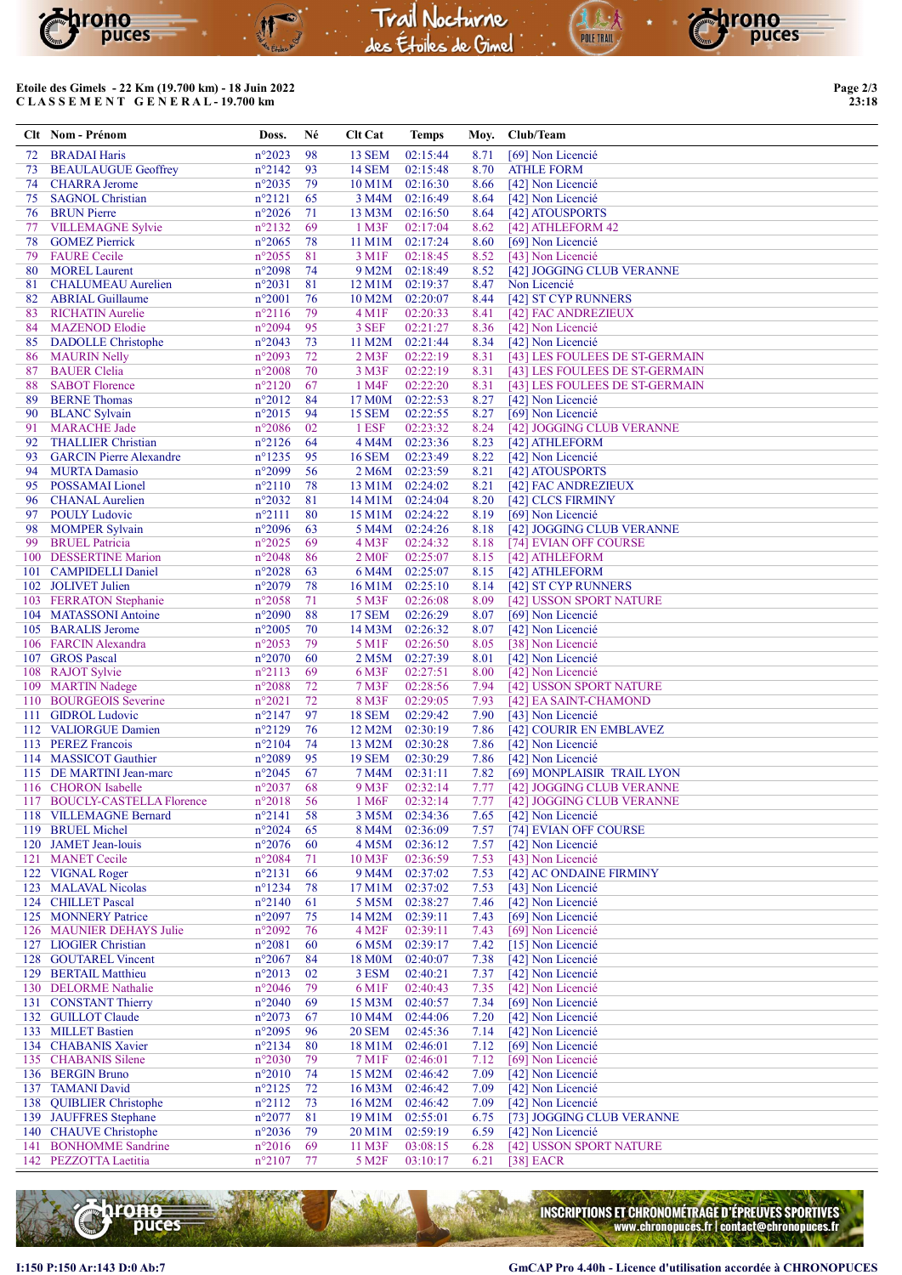

## Etoile des Gimels - 22 Km (19.700 km) - 18 Juin 2022 C L A S S E M E N T G E N E R A L - 19.700 km

|            | Clt Nom - Prénom                                     | Doss.                              | Né       | Clt Cat                      | <b>Temps</b>         |              | Moy. Club/Team                                 |
|------------|------------------------------------------------------|------------------------------------|----------|------------------------------|----------------------|--------------|------------------------------------------------|
| 72         | <b>BRADAI Haris</b>                                  | $n^{\circ}2023$                    | 98       | <b>13 SEM</b>                | 02:15:44             | 8.71         | [69] Non Licencié                              |
| 73         | <b>BEAULAUGUE Geoffrey</b>                           | $n^{\circ}2142$                    | 93       | <b>14 SEM</b>                | 02:15:48             | 8.70         | <b>ATHLE FORM</b>                              |
| 74         | <b>CHARRA Jerome</b>                                 | $n^{\circ}2035$                    | 79       | 10 M1M                       | 02:16:30             | 8.66         | [42] Non Licencié                              |
| 75.        | <b>SAGNOL Christian</b>                              | $n^{\circ}2121$                    | 65       | 3 M4M                        | 02:16:49             | 8.64         | [42] Non Licencié                              |
| 76         | <b>BRUN</b> Pierre                                   | $n^{\circ}2026$                    | 71       | 13 M3M                       | 02:16:50             | 8.64         | [42] ATOUSPORTS                                |
| 77         | <b>VILLEMAGNE Sylvie</b>                             | $n^{\circ}2132$                    | 69       | $1$ M3F                      | 02:17:04             | 8.62         | [42] ATHLEFORM 42                              |
| 78         | <b>GOMEZ Pierrick</b>                                | $n^{\circ}2065$                    | 78       | 11 M1M                       | 02:17:24             | 8.60         | [69] Non Licencié                              |
| 79<br>80   | <b>FAURE</b> Cecile<br><b>MOREL Laurent</b>          | $n^{\circ}2055$<br>$n^{\circ}2098$ | 81<br>74 | 3 M <sub>1</sub> F<br>9 M2M  | 02:18:45<br>02:18:49 | 8.52<br>8.52 | [43] Non Licencié<br>[42] JOGGING CLUB VERANNE |
| 81         | <b>CHALUMEAU</b> Aurelien                            | $n^{\circ}2031$                    | 81       | 12 M1M                       | 02:19:37             | 8.47         | Non Licencié                                   |
| 82         | <b>ABRIAL Guillaume</b>                              | $n^{\circ}2001$                    | 76       | 10 M2M                       | 02:20:07             | 8.44         | [42] ST CYP RUNNERS                            |
| 83         | <b>RICHATIN Aurelie</b>                              | $n^{\circ}2116$                    | 79       | 4 M1F                        | 02:20:33             | 8.41         | [42] FAC ANDREZIEUX                            |
| 84         | <b>MAZENOD Elodie</b>                                | n°2094                             | 95       | 3 SEF                        | 02:21:27             | 8.36         | [42] Non Licencié                              |
| 85         | <b>DADOLLE</b> Christophe                            | $n^{\circ}2043$                    | 73       | 11 M2M                       | 02:21:44             | 8.34         | [42] Non Licencié                              |
| 86         | <b>MAURIN Nelly</b>                                  | n°2093                             | 72       | $2$ M3F                      | 02:22:19             | 8.31         | [43] LES FOULEES DE ST-GERMAIN                 |
| 87         | <b>BAUER Clelia</b>                                  | $n^{\circ}2008$                    | 70       | 3 M3F                        | 02:22:19             | 8.31         | [43] LES FOULEES DE ST-GERMAIN                 |
| 88         | <b>SABOT</b> Florence                                | $n^{\circ}2120$                    | 67       | 1 M4F                        | 02:22:20             | 8.31         | [43] LES FOULEES DE ST-GERMAIN                 |
| 89<br>90   | <b>BERNE</b> Thomas                                  | $n^{\circ}2012$<br>$n^{\circ}2015$ | 84<br>94 | 17 M0M                       | 02:22:53<br>02:22:55 | 8.27<br>8.27 | [42] Non Licencié                              |
| 91         | <b>BLANC Sylvain</b><br><b>MARACHE</b> Jade          | $n^{\circ}2086$                    | 02       | <b>15 SEM</b><br>1 ESF       | 02:23:32             | 8.24         | [69] Non Licencié<br>[42] JOGGING CLUB VERANNE |
| 92         | <b>THALLIER Christian</b>                            | $n^{\circ}2126$                    | 64       | 4 M4M                        | 02:23:36             | 8.23         | [42] ATHLEFORM                                 |
| 93         | <b>GARCIN Pierre Alexandre</b>                       | $n^{\circ}$ 1235                   | 95       | <b>16 SEM</b>                | 02:23:49             | 8.22         | [42] Non Licencié                              |
| 94         | <b>MURTA Damasio</b>                                 | $n^{\circ}2099$                    | 56       | 2 M6M                        | 02:23:59             | 8.21         | [42] ATOUSPORTS                                |
| 95         | POSSAMAI Lionel                                      | $n^{\circ}2110$                    | 78       | 13 M1M                       | 02:24:02             | 8.21         | [42] FAC ANDREZIEUX                            |
| 96         | <b>CHANAL</b> Aurelien                               | $n^{\circ}2032$                    | 81       | 14 M1M                       | 02:24:04             | 8.20         | [42] CLCS FIRMINY                              |
| 97         | <b>POULY Ludovic</b>                                 | $n^{\circ}2111$                    | 80       | 15 M1M                       | 02:24:22             | 8.19         | [69] Non Licencié                              |
| 98         | <b>MOMPER Sylvain</b>                                | $n^{\circ}2096$                    | 63       | 5 M4M                        | 02:24:26             | 8.18         | [42] JOGGING CLUB VERANNE                      |
| 99         | <b>BRUEL Patricia</b>                                | $n^{\circ}2025$                    | 69       | $4$ M3F                      | 02:24:32             | 8.18         | [74] EVIAN OFF COURSE                          |
| 100<br>101 | <b>DESSERTINE Marion</b><br><b>CAMPIDELLI Daniel</b> | $n^{\circ}2048$<br>$n^{\circ}2028$ | 86<br>63 | 2 M <sub>OF</sub><br>6 M4M   | 02:25:07<br>02:25:07 | 8.15<br>8.15 | [42] ATHLEFORM<br>[42] ATHLEFORM               |
|            | 102 JOLIVET Julien                                   | $n^{\circ}2079$                    | 78       | 16 M1M                       | 02:25:10             | 8.14         | [42] ST CYP RUNNERS                            |
|            | 103 FERRATON Stephanie                               | $n^{\circ}2058$                    | 71       | 5 M3F                        | 02:26:08             | 8.09         | [42] USSON SPORT NATURE                        |
|            | 104 MATASSONI Antoine                                | $n^{\circ}2090$                    | 88       | <b>17 SEM</b>                | 02:26:29             | 8.07         | [69] Non Licencié                              |
|            | 105 BARALIS Jerome                                   | $n^{\circ}2005$                    | 70       | 14 M3M                       | 02:26:32             | 8.07         | [42] Non Licencié                              |
|            | 106 FARCIN Alexandra                                 | $n^{\circ}2053$                    | 79       | 5 M1F                        | 02:26:50             | 8.05         | [38] Non Licencié                              |
|            | 107 GROS Pascal                                      | $n^{\circ}2070$                    | 60       | 2 M5M                        | 02:27:39             | 8.01         | [42] Non Licencié                              |
|            | 108 RAJOT Sylvie                                     | $n^{\circ}2113$                    | 69       | 6 M3F                        | 02:27:51             | 8.00         | [42] Non Licencié                              |
|            | 109 MARTIN Nadege                                    | $n^{\circ}2088$                    | 72       | 7 M3F                        | 02:28:56             | 7.94         | [42] USSON SPORT NATURE                        |
|            | 110 BOURGEOIS Severine                               | $n^{\circ}2021$                    | 72       | 8 M3F                        | 02:29:05             | 7.93         | [42] EA SAINT-CHAMOND                          |
| 111        | <b>GIDROL Ludovic</b><br>112 VALIORGUE Damien        | $n^{\circ}2147$<br>$n^{\circ}2129$ | 97<br>76 | <b>18 SEM</b><br>12 M2M      | 02:29:42<br>02:30:19 | 7.90<br>7.86 | [43] Non Licencié<br>[42] COURIR EN EMBLAVEZ   |
|            | 113 PEREZ Francois                                   | $n^{\circ}2104$                    | 74       | 13 M2M                       | 02:30:28             | 7.86         | [42] Non Licencié                              |
|            | 114 MASSICOT Gauthier                                | $n^{\circ}2089$                    | 95       | <b>19 SEM</b>                | 02:30:29             | 7.86         | [42] Non Licencié                              |
|            | 115 DE MARTINI Jean-marc                             | $n^{\circ}2045$                    | 67       | 7 M4M                        | 02:31:11             | 7.82         | [69] MONPLAISIR TRAIL LYON                     |
|            | 116 CHORON Isabelle                                  | $n^{\circ}2037$                    | 68       | 9 M3F                        | 02:32:14             | 7.77         | [42] JOGGING CLUB VERANNE                      |
|            | 117 BOUCLY-CASTELLA Florence                         | $n^{\circ}2018$                    | 56       | 1 M6F                        | 02:32:14             | 7.77         | [42] JOGGING CLUB VERANNE                      |
|            | 118 VILLEMAGNE Bernard                               | $n^{\circ}2141$                    | 58       |                              | 3 M5M 02:34:36       | 7.65         | [42] Non Licencié                              |
| 119        | <b>BRUEL Michel</b>                                  | $n^{\circ}2024$                    | 65       | 8 M4M                        | 02:36:09             | 7.57         | [74] EVIAN OFF COURSE                          |
|            | 120 JAMET Jean-louis<br><b>MANET</b> Cecile          | $n^{\circ}2076$<br>$n^{\circ}2084$ | 60<br>71 | 4 M5M                        | 02:36:12             | 7.57<br>7.53 | [42] Non Licencié<br>[43] Non Licencié         |
| 121        | 122 VIGNAL Roger                                     | $n^{\circ}2131$                    | 66       | 10 M3F<br>9 M4M              | 02:36:59<br>02:37:02 | 7.53         | [42] AC ONDAINE FIRMINY                        |
| 123        | <b>MALAVAL Nicolas</b>                               | $n^{\circ}$ 1234                   | 78       | 17 M1M                       | 02:37:02             | 7.53         | [43] Non Licencié                              |
|            | 124 CHILLET Pascal                                   | $n^{\circ}2140$                    | 61       | 5 M5M                        | 02:38:27             | 7.46         | [42] Non Licencié                              |
|            | 125 MONNERY Patrice                                  | n°2097                             | 75       | 14 M2M                       | 02:39:11             | 7.43         | [69] Non Licencié                              |
|            | 126 MAUNIER DEHAYS Julie                             | $n^{\circ}2092$                    | 76       | 4 M <sub>2F</sub>            | 02:39:11             | 7.43         | [69] Non Licencié                              |
|            | 127 LIOGIER Christian                                | $n^{\circ}2081$                    | 60       | 6 M5M                        | 02:39:17             | 7.42         | [15] Non Licencié                              |
|            | 128 GOUTAREL Vincent                                 | $n^{\circ}2067$                    | 84       | 18 M <sub>0</sub> M          | 02:40:07             | 7.38         | [42] Non Licencié                              |
|            | 129 BERTAIL Matthieu                                 | $n^{\circ}2013$                    | 02       | 3 ESM                        | 02:40:21             | 7.37         | [42] Non Licencié                              |
|            | 130 DELORME Nathalie                                 | $n^{\circ}2046$                    | 79       | 6 M1F                        | 02:40:43             | 7.35         | [42] Non Licencié                              |
|            | 131 CONSTANT Thierry<br>132 GUILLOT Claude           | $n^{\circ}2040$<br>$n^{\circ}2073$ | 69<br>67 | 15 M3M<br>10 M4M             | 02:40:57<br>02:44:06 | 7.34<br>7.20 | [69] Non Licencié<br>[42] Non Licencié         |
|            | 133 MILLET Bastien                                   | $n^{\circ}2095$                    | 96       | <b>20 SEM</b>                | 02:45:36             | 7.14         | [42] Non Licencié                              |
|            | 134 CHABANIS Xavier                                  | $n^{\circ}2134$                    | 80       | 18 M1M                       | 02:46:01             | 7.12         | [69] Non Licencié                              |
|            | 135 CHABANIS Silene                                  | $n^{\circ}2030$                    | 79       | 7 M1F                        | 02:46:01             | 7.12         | [69] Non Licencié                              |
|            | 136 BERGIN Bruno                                     | $n^{\circ}2010$                    | 74       | 15 M2M                       | 02:46:42             | 7.09         | [42] Non Licencié                              |
|            | 137 TAMANI David                                     | $n^{\circ}2125$                    | 72       | 16 M3M                       | 02:46:42             | 7.09         | [42] Non Licencié                              |
| 138        | <b>QUIBLIER</b> Christophe                           | $n^{\circ}2112$                    | 73       | 16 M2M                       | 02:46:42             | 7.09         | [42] Non Licencié                              |
|            | 139 JAUFFRES Stephane                                | $n^{\circ}2077$                    | 81       | 19 M1M                       | 02:55:01             | 6.75         | [73] JOGGING CLUB VERANNE                      |
|            | 140 CHAUVE Christophe                                | $n^{\circ}2036$                    | 79       | 20 M1M                       | 02:59:19             | 6.59         | [42] Non Licencié                              |
| 141        | <b>BONHOMME</b> Sandrine<br>142 PEZZOTTA Laetitia    | $n^{\circ}2016$<br>$n^{\circ}2107$ | 69<br>77 | 11 M3F<br>5 M <sub>2</sub> F | 03:08:15<br>03:10:17 | 6.28<br>6.21 | [42] USSON SPORT NATURE<br>$[38]$ EACR         |
|            |                                                      |                                    |          |                              |                      |              |                                                |



Page 2/3 23:18

**prono<br>P** puces

POLE TRAIL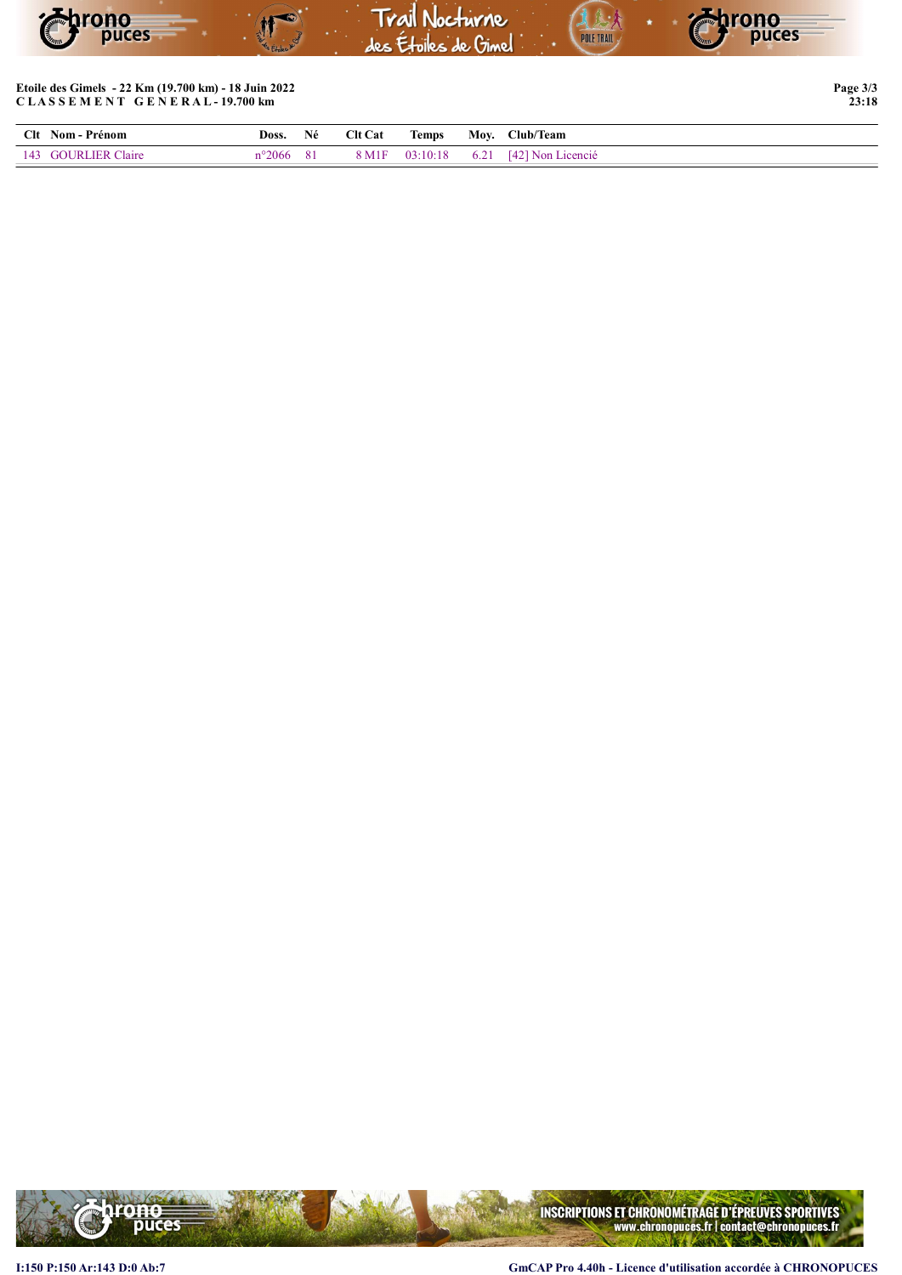| <b>Extrono</b> |  | Trail Nocturne       |                   | Chrono<br>puces |
|----------------|--|----------------------|-------------------|-----------------|
|                |  | des Etoiles de Ginel | <b>POLE TRAIL</b> |                 |

Etoile des Gimels - 22 Km (19.700 km) - 18 Juin 2022 C L A S S E M E N T G E N E R A L - 19.700 km

| Clt Nom - Prénom    |                    | Doss. Né Clt Cat |  | Temps Moy. Club/Team                  |
|---------------------|--------------------|------------------|--|---------------------------------------|
| 143 GOURLIER Claire | $n^{\circ}2066$ 81 |                  |  | 8 M1F 03:10:18 6.21 [42] Non Licencié |



I:150 P:150 Ar:143 D:0 Ab:7 GmCAP Pro 4.40h - Licence d'utilisation accordée à CHRONOPUCES

Page 3/3 23:18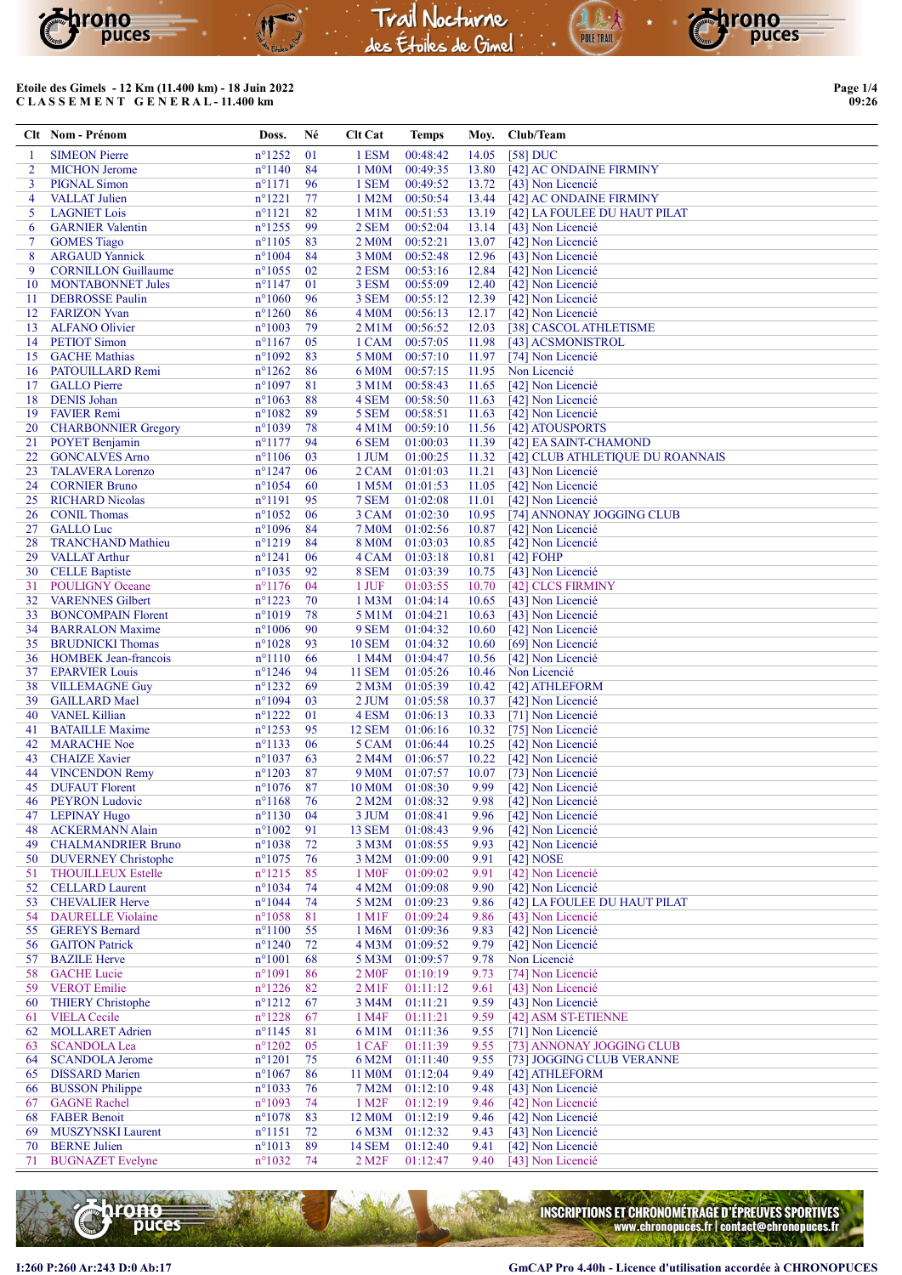# Trail Nocturne<br>des Étoiles de Ginel ar<mark>ono</mark><br>P<sup>ro</sup>puces rono<br>puces POLE TRAIL

#### Etoile des Gimels - 12 Km (11.400 km) - 18 Juin 2022 C L A S S E M E N T G E N E R A L - 11.400 km

Page 1/4 09:26

|          | Clt Nom - Prénom                                   | Doss.                               | Né       | Clt Cat                     | <b>Temps</b>         | Moy.           | Club/Team                              |
|----------|----------------------------------------------------|-------------------------------------|----------|-----------------------------|----------------------|----------------|----------------------------------------|
| -1       | <b>SIMEON Pierre</b>                               | $n^{\circ}$ 1252                    | 01       | 1 ESM                       | 00:48:42             | 14.05          | $[58]$ DUC                             |
| 2        | <b>MICHON Jerome</b>                               | $n^{\circ}$ 1140                    | 84       | 1 M <sub>0</sub> M          | 00:49:35             | 13.80          | [42] AC ONDAINE FIRMINY                |
| 3        | <b>PIGNAL Simon</b>                                | $n^{\circ}1171$                     | 96       | 1 SEM                       | 00:49:52             | 13.72          | [43] Non Licencié                      |
| 4        | <b>VALLAT</b> Julien                               | $n^{\circ}1221$                     | 77       | 1 M2M                       | 00:50:54             | 13.44          | [42] AC ONDAINE FIRMINY                |
| 5        | <b>LAGNIET</b> Lois                                | $n^{\circ}1121$                     | 82       | $1$ M $1$ M                 | 00:51:53             | 13.19          | [42] LA FOULEE DU HAUT PILAT           |
| 6        | <b>GARNIER Valentin</b>                            | $n^{\circ}$ 1255                    | 99       | 2 SEM                       | 00:52:04             | 13.14          | [43] Non Licencié                      |
| 7        | <b>GOMES</b> Tiago                                 | $n^{\circ}1105$                     | 83       | 2 M <sub>0</sub> M          | 00:52:21             | 13.07          | [42] Non Licencié                      |
| 8        | <b>ARGAUD Yannick</b>                              | $n^{\circ}1004$                     | 84       | 3 M0M                       | 00:52:48             | 12.96          | [43] Non Licencié                      |
| 9        | <b>CORNILLON Guillaume</b>                         | $n^{\circ}1055$<br>$n^{\circ}$ 1147 | 02<br>01 | 2 ESM<br>3 ESM              | 00:53:16<br>00:55:09 | 12.84<br>12.40 | [42] Non Licencié<br>[42] Non Licencié |
| 10<br>11 | <b>MONTABONNET Jules</b><br><b>DEBROSSE</b> Paulin | $n^{\circ}1060$                     | 96       | 3 SEM                       | 00:55:12             | 12.39          | [42] Non Licencié                      |
| 12       | <b>FARIZON Yvan</b>                                | $n^{\circ}$ 1260                    | 86       | 4 M <sub>0</sub> M          | 00:56:13             | 12.17          | [42] Non Licencié                      |
| 13       | <b>ALFANO Olivier</b>                              | $n^{\circ}1003$                     | 79       | $2$ M $1$ M                 | 00:56:52             | 12.03          | [38] CASCOL ATHLETISME                 |
| 14       | <b>PETIOT</b> Simon                                | $n^{\circ}1167$                     | 05       | 1 CAM                       | 00:57:05             | 11.98          | [43] ACSMONISTROL                      |
| 15       | <b>GACHE</b> Mathias                               | $n^{\circ}1092$                     | 83       | 5 M0M                       | 00:57:10             | 11.97          | [74] Non Licencié                      |
| 16       | PATOUILLARD Remi                                   | $n^{\circ}$ 1262                    | 86       | 6 M0M                       | 00:57:15             | 11.95          | Non Licencié                           |
| 17       | <b>GALLO</b> Pierre                                | $n^{\circ}1097$                     | 81       | 3 M1M                       | 00:58:43             | 11.65          | [42] Non Licencié                      |
| 18       | <b>DENIS Johan</b>                                 | $n^{\circ}1063$                     | 88       | 4 SEM                       | 00:58:50             | 11.63          | [42] Non Licencié                      |
| 19       | <b>FAVIER Remi</b>                                 | $n^{\circ}1082$                     | 89       | 5 SEM                       | 00:58:51             | 11.63          | [42] Non Licencié                      |
| 20       | <b>CHARBONNIER Gregory</b>                         | $n^{\circ}1039$                     | 78       | 4 M1M                       | 00:59:10             | 11.56          | [42] ATOUSPORTS                        |
| 21       | <b>POYET Benjamin</b>                              | $n^{\circ}1177$                     | 94       | 6 SEM                       | 01:00:03             | 11.39          | [42] EA SAINT-CHAMOND                  |
| 22       | <b>GONCALVES Arno</b>                              | $n^{\circ}1106$                     | 03       | 1 JUM                       | 01:00:25             | 11.32          | [42] CLUB ATHLETIQUE DU ROANNAIS       |
| 23       | <b>TALAVERA Lorenzo</b>                            | $n^{\circ}$ 1247                    | 06       | 2 CAM                       | 01:01:03             | 11.21          | [43] Non Licencié                      |
| 24       | <b>CORNIER Bruno</b>                               | $n^{\circ}1054$                     | 60       | 1 M5M                       | 01:01:53             | 11.05          | [42] Non Licencié                      |
| 25       | <b>RICHARD Nicolas</b>                             | $n^{\circ}1191$                     | 95       | 7 SEM                       | 01:02:08             | 11.01          | [42] Non Licencié                      |
| 26       | <b>CONIL Thomas</b>                                | $n^{\circ}1052$                     | 06       | 3 CAM                       | 01:02:30             | 10.95          | [74] ANNONAY JOGGING CLUB              |
| 27       | <b>GALLO</b> Luc                                   | $n^{\circ}1096$                     | 84       | 7 M0M                       | 01:02:56             | 10.87          | [42] Non Licencié                      |
| 28       | <b>TRANCHAND Mathieu</b>                           | $n^{\circ}1219$                     | 84       | <b>8 M0M</b>                | 01:03:03             | 10.85          | [42] Non Licencié                      |
| 29       | <b>VALLAT Arthur</b>                               | $n^{\circ}1241$                     | 06       | 4 CAM                       | 01:03:18             | 10.81          | $[42]$ FOHP                            |
| 30       | <b>CELLE Baptiste</b>                              | $n^{\circ}1035$                     | 92       | 8 SEM                       | 01:03:39             | 10.75          | [43] Non Licencié                      |
| 31       | <b>POULIGNY Oceane</b>                             | $n^{\circ}1176$                     | 04       | 1 JUF                       | 01:03:55             | 10.70          | [42] CLCS FIRMINY                      |
| 32       | <b>VARENNES Gilbert</b>                            | $n^{\circ}$ 1223                    | 70       | 1 M3M                       | 01:04:14             | 10.65          | [43] Non Licencié                      |
| 33       | <b>BONCOMPAIN Florent</b>                          | $n^{\circ}1019$<br>$n^{\circ}1006$  | 78<br>90 | 5 M1M<br>9 SEM              | 01:04:21<br>01:04:32 | 10.63          | [43] Non Licencié<br>[42] Non Licencié |
| 34<br>35 | <b>BARRALON Maxime</b><br><b>BRUDNICKI Thomas</b>  | $n^{\circ}1028$                     | 93       | <b>10 SEM</b>               | 01:04:32             | 10.60<br>10.60 | [69] Non Licencié                      |
| 36       | <b>HOMBEK</b> Jean-francois                        | $n^{\circ}1110$                     | 66       | 1 M4M                       | 01:04:47             | 10.56          | [42] Non Licencié                      |
| 37       | <b>EPARVIER Louis</b>                              | $n^{\circ}$ 1246                    | 94       | <b>11 SEM</b>               | 01:05:26             | 10.46          | Non Licencié                           |
| 38       | <b>VILLEMAGNE Guy</b>                              | $n^{\circ}$ 1232                    | 69       | 2 M3M                       | 01:05:39             | 10.42          | [42] ATHLEFORM                         |
| 39       | <b>GAILLARD</b> Mael                               | $n^{\circ}1094$                     | 03       | $2$ JUM                     | 01:05:58             | 10.37          | [42] Non Licencié                      |
| 40       | <b>VANEL Killian</b>                               | $n^{\circ}$ 1222                    | 01       | 4 ESM                       | 01:06:13             | 10.33          | [71] Non Licencié                      |
| 41       | <b>BATAILLE Maxime</b>                             | $n^{\circ}$ 1253                    | 95       | <b>12 SEM</b>               | 01:06:16             | 10.32          | [75] Non Licencié                      |
| 42       | <b>MARACHE</b> Noe                                 | $n^{\circ}1133$                     | 06       | 5 CAM                       | 01:06:44             | 10.25          | [42] Non Licencié                      |
| 43       | <b>CHAIZE</b> Xavier                               | $n^{\circ}1037$                     | 63       | 2 M4M                       | 01:06:57             | 10.22          | [42] Non Licencié                      |
| 44       | <b>VINCENDON Remy</b>                              | $n^{\circ}1203$                     | 87       | 9 M <sub>0</sub> M          | 01:07:57             | 10.07          | [73] Non Licencié                      |
| 45       | <b>DUFAUT Florent</b>                              | $n^{\circ}1076$                     | 87       |                             | 10 M0M 01:08:30      | 9.99           | [42] Non Licencié                      |
| 46       | <b>PEYRON Ludovic</b>                              | $n^{\circ}1168$                     | 76       |                             | 2 M2M 01:08:32       | 9.98           | [42] Non Licencié                      |
|          | 47 LEPINAY Hugo                                    | $n^{\circ}1130$                     | 04       | 3 JUM                       | 01:08:41             | 9.96           | [42] Non Licencié                      |
| 48       | <b>ACKERMANN Alain</b>                             | $n^{\circ}1002$                     | 91       | 13 SEM                      | 01:08:43             | 9.96           | [42] Non Licencié                      |
| 49       | <b>CHALMANDRIER Bruno</b>                          | $n^{\circ}1038$                     | 72       | 3 M3M                       | 01:08:55             | 9.93           | [42] Non Licencié                      |
| 50       | <b>DUVERNEY Christophe</b>                         | $n^{\circ}1075$                     | 76       | 3 M2M                       | 01:09:00             | 9.91           | $[42]$ NOSE                            |
| 51       | <b>THOUILLEUX Estelle</b>                          | $n^{\circ}1215$                     | 85       | 1 M <sub>OF</sub>           | 01:09:02             | 9.91           | [42] Non Licencié                      |
| 52       | <b>CELLARD</b> Laurent                             | $n^{\circ}1034$                     | 74       | 4 M2M                       | 01:09:08             | 9.90           | [42] Non Licencié                      |
| 53       | <b>CHEVALIER Herve</b>                             | $n^{\circ}1044$                     | 74       | 5 M2M                       | 01:09:23             | 9.86           | [42] LA FOULEE DU HAUT PILAT           |
| 54       | <b>DAURELLE</b> Violaine                           | $n^{\circ}1058$                     | 81<br>55 | $1$ M $1$ F                 | 01:09:24<br>01:09:36 | 9.86           | [43] Non Licencié<br>[42] Non Licencié |
| 55<br>56 | <b>GEREYS Bernard</b><br><b>GAITON Patrick</b>     | $n^{\circ}1100$<br>$n^{\circ}$ 1240 | 72       | 1 M6M<br>4 M <sub>3</sub> M | 01:09:52             | 9.83<br>9.79   | [42] Non Licencié                      |
|          | <b>BAZILE</b> Herve                                | $n^{\circ}1001$                     | 68       | 5 M3M                       | 01:09:57             | 9.78           | Non Licencié                           |
| 57<br>58 | <b>GACHE</b> Lucie                                 | $n^{\circ}1091$                     | 86       | 2 M <sub>OF</sub>           | 01:10:19             | 9.73           | [74] Non Licencié                      |
| 59       | <b>VEROT</b> Emilie                                | $n^{\circ}$ 1226                    | 82       | $2$ M <sub>1</sub> $F$      | 01:11:12             | 9.61           | [43] Non Licencié                      |
| 60       | <b>THIERY Christophe</b>                           | $n^{\circ}1212$                     | 67       | 3 M4M                       | 01:11:21             | 9.59           | [43] Non Licencié                      |
| 61       | <b>VIELA Cecile</b>                                | $n^{\circ}$ 1228                    | 67       | 1 M4F                       | 01:11:21             | 9.59           | [42] ASM ST-ETIENNE                    |
| 62       | <b>MOLLARET Adrien</b>                             | $n^{\circ}$ 1145                    | 81       | 6 M1M                       | 01:11:36             | 9.55           | [71] Non Licencié                      |
| 63       | <b>SCANDOLA Lea</b>                                | $n^{\circ}1202$                     | 05       | 1 CAF                       | 01:11:39             | 9.55           | [73] ANNONAY JOGGING CLUB              |
| 64       | <b>SCANDOLA Jerome</b>                             | $n^{\circ}1201$                     | 75       | 6 M2M                       | 01:11:40             | 9.55           | [73] JOGGING CLUB VERANNE              |
| 65       | <b>DISSARD</b> Marien                              | $n^{\circ}1067$                     | 86       | 11 M <sub>0</sub> M         | 01:12:04             | 9.49           | [42] ATHLEFORM                         |
| 66       | <b>BUSSON</b> Philippe                             | $n^{\circ}1033$                     | 76       | 7 M2M                       | 01:12:10             | 9.48           | [43] Non Licencié                      |
| 67       | <b>GAGNE Rachel</b>                                | $n^{\circ}1093$                     | 74       | 1 M <sub>2</sub> F          | 01:12:19             | 9.46           | [42] Non Licencié                      |
| 68       | <b>FABER Benoit</b>                                | $n^{\circ}1078$                     | 83       | 12 M <sub>0</sub> M         | 01:12:19             | 9.46           | [42] Non Licencié                      |
| 69       | MUSZYNSKI Laurent                                  | $n^{\circ}1151$                     | 72       | 6 M3M                       | 01:12:32             | 9.43           | [43] Non Licencié                      |
| 70       | <b>BERNE Julien</b>                                | $n^{\circ}1013$                     | 89       | 14 SEM                      | 01:12:40             | 9.41           | [42] Non Licencié                      |
| 71       | <b>BUGNAZET</b> Evelyne                            | $n^{\circ}1032$                     | 74       | $2$ M <sub>2</sub> $F$      | 01:12:47             | 9.40           | [43] Non Licencié                      |



INSCRIPTIONS ET CHRONOMÉTRAGE D'ÉPREUVES SPORTIVES<br>www.chronopuces.fr | contact@chronopuces.fr<br>chronopuces.fr |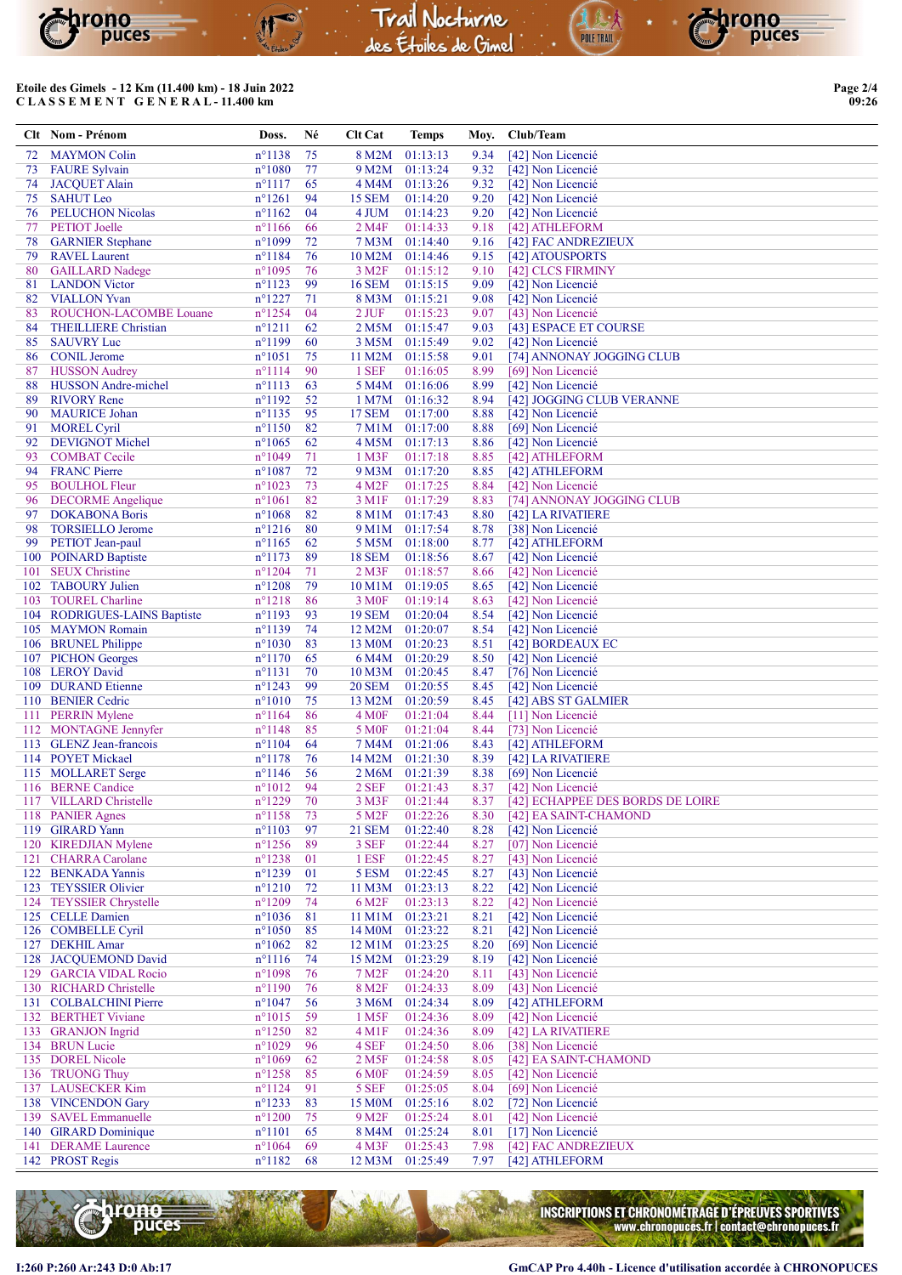

## Etoile des Gimels - 12 Km (11.400 km) - 18 Juin 2022 C L A S S E M E N T G E N E R A L - 11.400 km

|          | Clt Nom - Prénom                                 | Doss.                               | Né       | <b>Clt Cat</b>                         | <b>Temps</b>         | Moy.         | Club/Team                                                 |
|----------|--------------------------------------------------|-------------------------------------|----------|----------------------------------------|----------------------|--------------|-----------------------------------------------------------|
| 72       | <b>MAYMON Colin</b>                              | $n^{\circ}1138$                     | 75       | 8 M2M                                  | 01:13:13             | 9.34         | [42] Non Licencié                                         |
| 73       | <b>FAURE Sylvain</b>                             | $n^{\circ}1080$                     | 77       | 9 M2M                                  | 01:13:24             | 9.32         | [42] Non Licencié                                         |
| 74       | <b>JACQUET Alain</b>                             | $n^{\circ}1117$                     | 65       | 4 M4M                                  | 01:13:26             | 9.32         | [42] Non Licencié                                         |
| 75       | <b>SAHUT Leo</b>                                 | $n^{\circ}1261$                     | 94       | <b>15 SEM</b>                          | 01:14:20             | 9.20         | [42] Non Licencié                                         |
| 76       | <b>PELUCHON Nicolas</b>                          | $n^{\circ}1162$                     | 04       | 4 JUM                                  | 01:14:23             | 9.20         | [42] Non Licencié                                         |
| 77       | <b>PETIOT</b> Joelle                             | $n^{\circ}$ 1166                    | 66       | 2 M4F                                  | 01:14:33             | 9.18         | [42] ATHLEFORM                                            |
| 78<br>79 | <b>GARNIER Stephane</b>                          | $n^{\circ}1099$                     | 72<br>76 | 7 M3M                                  | 01:14:40             | 9.16         | [42] FAC ANDREZIEUX                                       |
| 80       | <b>RAVEL Laurent</b><br><b>GAILLARD</b> Nadege   | $n^{\circ}1184$<br>$n^{\circ}1095$  | 76       | 10 M2M<br>3 M <sub>2</sub> F           | 01:14:46<br>01:15:12 | 9.15<br>9.10 | [42] ATOUSPORTS<br>[42] CLCS FIRMINY                      |
| 81       | <b>LANDON Victor</b>                             | $n^{\circ}1123$                     | 99       | <b>16 SEM</b>                          | 01:15:15             | 9.09         | [42] Non Licencié                                         |
| 82       | <b>VIALLON</b> Yvan                              | $n^{\circ}$ 1227                    | 71       | 8 M3M                                  | 01:15:21             | 9.08         | [42] Non Licencié                                         |
| 83       | ROUCHON-LACOMBE Louane                           | $n^{\circ}$ 1254                    | 04       | $2$ JUF                                | 01:15:23             | 9.07         | [43] Non Licencié                                         |
| 84       | <b>THEILLIERE Christian</b>                      | $n^{\circ}1211$                     | 62       | 2 M5M                                  | 01:15:47             | 9.03         | [43] ESPACE ET COURSE                                     |
| 85       | <b>SAUVRY Luc</b>                                | $n^{\circ}1199$                     | 60       | 3 M5M                                  | 01:15:49             | 9.02         | [42] Non Licencié                                         |
| 86       | <b>CONIL Jerome</b>                              | $n^{\circ}1051$                     | 75       | 11 M2M                                 | 01:15:58             | 9.01         | [74] ANNONAY JOGGING CLUB                                 |
| 87       | <b>HUSSON</b> Audrey                             | $n^{\circ}1114$                     | 90       | 1 SEF                                  | 01:16:05             | 8.99         | [69] Non Licencié                                         |
| 88<br>89 | <b>HUSSON</b> Andre-michel<br><b>RIVORY Rene</b> | $n^{\circ}1113$<br>$n^{\circ}1192$  | 63<br>52 | 5 M4M<br>1 M7M                         | 01:16:06<br>01:16:32 | 8.99<br>8.94 | [42] Non Licencié<br>[42] JOGGING CLUB VERANNE            |
| 90       | <b>MAURICE Johan</b>                             | $n^{\circ}$ 1135                    | 95       | <b>17 SEM</b>                          | 01:17:00             | 8.88         | [42] Non Licencié                                         |
| 91       | <b>MOREL Cyril</b>                               | $n^{\circ}1150$                     | 82       | 7 M1M                                  | 01:17:00             | 8.88         | [69] Non Licencié                                         |
| 92       | <b>DEVIGNOT Michel</b>                           | $n^{\circ}1065$                     | 62       | 4 M5M                                  | 01:17:13             | 8.86         | [42] Non Licencié                                         |
| 93       | <b>COMBAT</b> Cecile                             | n°1049                              | 71       | $1$ M3F                                | 01:17:18             | 8.85         | [42] ATHLEFORM                                            |
| 94       | <b>FRANC Pierre</b>                              | $n^{\circ}1087$                     | 72       | 9 M3M                                  | 01:17:20             | 8.85         | [42] ATHLEFORM                                            |
| 95       | <b>BOULHOL Fleur</b>                             | $n^{\circ}1023$                     | 73       | 4 M <sub>2</sub> F                     | 01:17:25             | 8.84         | [42] Non Licencié                                         |
| 96       | <b>DECORME</b> Angelique                         | $n^{\circ}1061$                     | 82       | 3 M1F                                  | 01:17:29             | 8.83         | [74] ANNONAY JOGGING CLUB                                 |
| 97       | <b>DOKABONA Boris</b>                            | $n^{\circ}1068$                     | 82       | 8 M1M                                  | 01:17:43             | 8.80         | [42] LA RIVATIERE                                         |
| 98<br>99 | <b>TORSIELLO Jerome</b><br>PETIOT Jean-paul      | $n^{\circ}1216$<br>$n^{\circ}1165$  | 80<br>62 | 9 M1M<br>5 M5M                         | 01:17:54<br>01:18:00 | 8.78<br>8.77 | [38] Non Licencié<br>[42] ATHLEFORM                       |
| 100      | <b>POINARD Baptiste</b>                          | $n^{\circ}1173$                     | 89       | <b>18 SEM</b>                          | 01:18:56             | 8.67         | [42] Non Licencié                                         |
| 101      | <b>SEUX</b> Christine                            | $n^{\circ}1204$                     | 71       | $2$ M <sub>3</sub> F                   | 01:18:57             | 8.66         | [42] Non Licencié                                         |
| 102      | <b>TABOURY Julien</b>                            | $n^{\circ}$ 1208                    | 79       | 10 M1M                                 | 01:19:05             | 8.65         | [42] Non Licencié                                         |
|          | 103 TOUREL Charline                              | $n^{\circ}1218$                     | 86       | 3 M <sub>OF</sub>                      | 01:19:14             | 8.63         | [42] Non Licencié                                         |
|          | 104 RODRIGUES-LAINS Baptiste                     | $n^{\circ}1193$                     | 93       | <b>19 SEM</b>                          | 01:20:04             | 8.54         | [42] Non Licencié                                         |
|          | 105 MAYMON Romain                                | $n^{\circ}1139$                     | 74       | 12 M2M                                 | 01:20:07             | 8.54         | [42] Non Licencié                                         |
|          | 106 BRUNEL Philippe                              | $n^{\circ}1030$                     | 83       | 13 M0M                                 | 01:20:23             | 8.51         | [42] BORDEAUX EC                                          |
|          | 107 PICHON Georges                               | $n^{\circ}1170$                     | 65       | 6 M4M                                  | 01:20:29             | 8.50         | [42] Non Licencié                                         |
|          | 108 LEROY David<br>109 DURAND Etienne            | $n^{\circ}1131$<br>$n^{\circ}$ 1243 | 70<br>99 | 10 M3M<br><b>20 SEM</b>                | 01:20:45<br>01:20:55 | 8.47<br>8.45 | [76] Non Licencié<br>[42] Non Licencié                    |
|          | 110 BENIER Cedric                                | $n^{\circ}1010$                     | 75       | 13 M2M                                 | 01:20:59             | 8.45         | [42] ABS ST GALMIER                                       |
|          | 111 PERRIN Mylene                                | $n^{\circ}1164$                     | 86       | 4 M <sub>OF</sub>                      | 01:21:04             | 8.44         | [11] Non Licencié                                         |
|          | 112 MONTAGNE Jennyfer                            | $n^{\circ}1148$                     | 85       | 5 M <sub>OF</sub>                      | 01:21:04             | 8.44         | [73] Non Licencié                                         |
|          | 113 GLENZ Jean-francois                          | $n^{\circ}1104$                     | 64       | 7 M4M                                  | 01:21:06             | 8.43         | [42] ATHLEFORM                                            |
|          | 114 POYET Mickael                                | $n^{\circ}$ 1178                    | 76       | 14 M2M                                 | 01:21:30             | 8.39         | [42] LA RIVATIERE                                         |
|          | 115 MOLLARET Serge                               | $n^{\circ}$ 1146                    | 56       | 2 M6M                                  | 01:21:39             | 8.38         | [69] Non Licencié                                         |
|          | 116 BERNE Candice                                | $n^{\circ}1012$<br>$n^{\circ}$ 1229 | 94       | 2 SEF                                  | 01:21:43             | 8.37         | [42] Non Licencié                                         |
|          | 117 VILLARD Christelle<br>118 PANIER Agnes       | $n^{\circ}$ 1158                    | 70<br>73 | 3 M3F<br>5 M <sub>2</sub> F            | 01:21:44<br>01:22:26 | 8.37<br>8.30 | [42] ECHAPPEE DES BORDS DE LOIRE<br>[42] EA SAINT-CHAMOND |
|          | 119 GIRARD Yann                                  | $n^{\circ}1103$                     | 97       | 21 SEM                                 | 01:22:40             | 8.28         | [42] Non Licencié                                         |
|          | 120 KIREDJIAN Mylene                             | $n^{\circ}$ 1256                    | 89       | 3 SEF                                  | 01:22:44             | 8.27         | [07] Non Licencié                                         |
| 121      | <b>CHARRA</b> Carolane                           | $n^{\circ}1238$                     | 01       | 1 ESF                                  | 01:22:45             | 8.27         | [43] Non Licencié                                         |
|          | 122 BENKADA Yannis                               | $n^{\circ}1239$                     | 01       | 5 ESM                                  | 01:22:45             | 8.27         | [43] Non Licencié                                         |
|          | 123 TEYSSIER Olivier                             | $n^{\circ}1210$                     | 72       | 11 M3M                                 | 01:23:13             | 8.22         | [42] Non Licencié                                         |
|          | 124 TEYSSIER Chrystelle                          | $n^{\circ}1209$                     | 74       | 6 M2F                                  | 01:23:13             | 8.22         | [42] Non Licencié                                         |
|          | 125 CELLE Damien<br>126 COMBELLE Cyril           | $n^{\circ}1036$<br>$n^{\circ}1050$  | 81<br>85 | 11 M1M<br>14 M <sub>0</sub> M          | 01:23:21<br>01:23:22 | 8.21<br>8.21 | [42] Non Licencié<br>[42] Non Licencié                    |
|          | 127 DEKHIL Amar                                  | $n^{\circ}1062$                     | 82       | 12 M1M                                 | 01:23:25             | 8.20         | [69] Non Licencié                                         |
|          | 128 JACQUEMOND David                             | $n^{\circ}1116$                     | 74       | 15 M2M                                 | 01:23:29             | 8.19         | [42] Non Licencié                                         |
|          | 129 GARCIA VIDAL Rocio                           | $n^{\circ}1098$                     | 76       | 7 M <sub>2</sub> F                     | 01:24:20             | 8.11         | [43] Non Licencié                                         |
|          | 130 RICHARD Christelle                           | $n^{\circ}1190$                     | 76       | 8 M <sub>2</sub> F                     | 01:24:33             | 8.09         | [43] Non Licencié                                         |
|          | 131 COLBALCHINI Pierre                           | $n^{\circ}1047$                     | 56       | 3 M6M                                  | 01:24:34             | 8.09         | [42] ATHLEFORM                                            |
|          | 132 BERTHET Viviane                              | $n^{\circ}1015$                     | 59       | 1 M <sub>5</sub> F                     | 01:24:36             | 8.09         | [42] Non Licencié                                         |
|          | 133 GRANJON Ingrid                               | $n^{\circ}$ 1250                    | 82       | 4 M1F                                  | 01:24:36             | 8.09         | [42] LA RIVATIERE                                         |
|          | 134 BRUN Lucie<br>135 DOREL Nicole               | $n^{\circ}1029$<br>$n^{\circ}1069$  | 96<br>62 | 4 SEF                                  | 01:24:50             | 8.06         | [38] Non Licencié<br>[42] EA SAINT-CHAMOND                |
|          | 136 TRUONG Thuy                                  | $n^{\circ}$ 1258                    | 85       | 2 M <sub>5F</sub><br>6 M <sub>OF</sub> | 01:24:58<br>01:24:59 | 8.05<br>8.05 | [42] Non Licencié                                         |
|          | 137 LAUSECKER Kim                                | $n^{\circ}1124$                     | 91       | 5 SEF                                  | 01:25:05             | 8.04         | [69] Non Licencié                                         |
|          | 138 VINCENDON Gary                               | $n^{\circ}$ 1233                    | 83       | 15 M0M                                 | 01:25:16             | 8.02         | [72] Non Licencié                                         |
|          | 139 SAVEL Emmanuelle                             | $n^{\circ}1200$                     | 75       | 9 M <sub>2</sub> F                     | 01:25:24             | 8.01         | [42] Non Licencié                                         |
|          | 140 GIRARD Dominique                             | $n^{\circ}1101$                     | 65       | 8 M4M                                  | 01:25:24             | 8.01         | [17] Non Licencié                                         |
|          | 141 DERAME Laurence                              | $n^{\circ}1064$                     | 69       | $4$ M $3$ F                            | 01:25:43             | 7.98         | [42] FAC ANDREZIEUX                                       |
|          | 142 PROST Regis                                  | $n^{\circ}1182$                     | 68       | 12 M3M 01:25:49                        |                      | 7.97         | [42] ATHLEFORM                                            |



INSCRIPTIONS ET CHRONOMÉTRAGE D'ÉPREUVES SPORTIVES<br>www.chronopuces.fr | contact@chronopuces.fr<br>chronopuces.fr |

rono<br>puces

09:26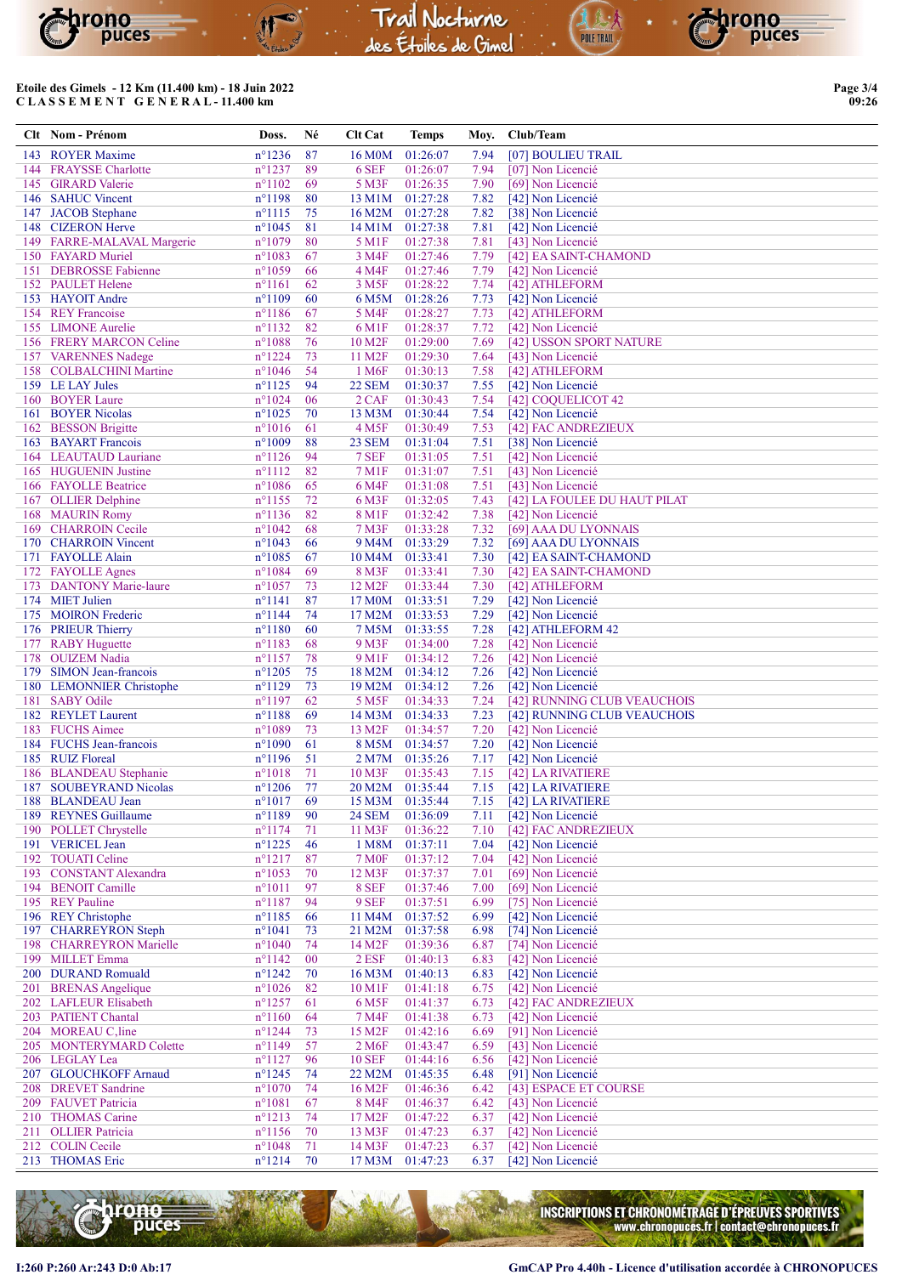

## Etoile des Gimels - 12 Km (11.400 km) - 18 Juin 2022 C L A S S E M E N T G E N E R A L - 11.400 km

Page 3/4 09:26

rono<br>Puces

|     | Clt Nom - Prénom                              | Doss.                               | Né       | Clt Cat                     | <b>Temps</b>         | Moy.         | Club/Team                                        |
|-----|-----------------------------------------------|-------------------------------------|----------|-----------------------------|----------------------|--------------|--------------------------------------------------|
|     | 143 ROYER Maxime                              | $n^{\circ}$ 1236                    | 87       | 16 M <sub>0</sub> M         | 01:26:07             | 7.94         | [07] BOULIEU TRAIL                               |
| 144 | <b>FRAYSSE Charlotte</b>                      | $n^{\circ}$ 1237                    | 89       | 6 SEF                       | 01:26:07             | 7.94         | [07] Non Licencié                                |
|     | 145 GIRARD Valerie                            | $n^{\circ}1102$                     | 69       | 5 M3F                       | 01:26:35             | 7.90         | [69] Non Licencié                                |
|     | 146 SAHUC Vincent                             | $n^{\circ}1198$                     | 80       | 13 M1M                      | 01:27:28             | 7.82         | [42] Non Licencié                                |
|     | 147 JACOB Stephane                            | $n^{\circ}1115$                     | 75       | 16 M2M                      | 01:27:28             | 7.82         | [38] Non Licencié                                |
|     | 148 CIZERON Herve                             | $n^{\circ}1045$                     | 81       | 14 M1M                      | 01:27:38             | 7.81         | [42] Non Licencié                                |
|     | 149 FARRE-MALAVAL Margerie                    | $n^{\circ}1079$                     | 80<br>67 | 5 M1F                       | 01:27:38             | 7.81         | [43] Non Licencié                                |
|     | 150 FAYARD Muriel<br>151 DEBROSSE Fabienne    | $n^{\circ}1083$<br>$n^{\circ}1059$  | 66       | 3 M4F<br>4 M4F              | 01:27:46<br>01:27:46 | 7.79<br>7.79 | [42] EA SAINT-CHAMOND<br>[42] Non Licencié       |
|     | 152 PAULET Helene                             | $n^{\circ}1161$                     | 62       | 3 M <sub>5F</sub>           | 01:28:22             | 7.74         | [42] ATHLEFORM                                   |
|     | 153 HAYOIT Andre                              | $n^{\circ}1109$                     | 60       | 6 M5M                       | 01:28:26             | 7.73         | [42] Non Licencié                                |
|     | 154 REY Francoise                             | $n^{\circ}$ 1186                    | 67       | 5 M4F                       | 01:28:27             | 7.73         | [42] ATHLEFORM                                   |
|     | 155 LIMONE Aurelie                            | $n^{\circ}1132$                     | 82       | 6 M <sub>1F</sub>           | 01:28:37             | 7.72         | [42] Non Licencié                                |
|     | 156 FRERY MARCON Celine                       | $n^{\circ}1088$                     | 76       | 10 M <sub>2F</sub>          | 01:29:00             | 7.69         | [42] USSON SPORT NATURE                          |
|     | 157 VARENNES Nadege                           | $n^{\circ}$ 1224                    | 73       | 11 M <sub>2</sub> F         | 01:29:30             | 7.64         | [43] Non Licencié                                |
|     | 158 COLBALCHINI Martine                       | $n^{\circ}1046$                     | 54       | 1 M <sub>6F</sub>           | 01:30:13             | 7.58         | [42] ATHLEFORM                                   |
|     | 159 LE LAY Jules<br>160 BOYER Laure           | $n^{\circ}1125$<br>$n^{\circ}1024$  | 94<br>06 | <b>22 SEM</b><br>2 CAF      | 01:30:37<br>01:30:43 | 7.55<br>7.54 | [42] Non Licencié<br>[42] COQUELICOT 42          |
|     | 161 BOYER Nicolas                             | $n^{\circ}1025$                     | 70       | 13 M3M                      | 01:30:44             | 7.54         | [42] Non Licencié                                |
|     | 162 BESSON Brigitte                           | $n^{\circ}1016$                     | 61       | 4 M <sub>5F</sub>           | 01:30:49             | 7.53         | [42] FAC ANDREZIEUX                              |
|     | 163 BAYART Francois                           | $n^{\circ}1009$                     | 88       | 23 SEM                      | 01:31:04             | 7.51         | [38] Non Licencié                                |
|     | 164 LEAUTAUD Lauriane                         | $n^{\circ}1126$                     | 94       | 7 SEF                       | 01:31:05             | 7.51         | [42] Non Licencié                                |
|     | 165 HUGUENIN Justine                          | $n^{\circ}1112$                     | 82       | 7 M1F                       | 01:31:07             | 7.51         | [43] Non Licencié                                |
|     | 166 FAYOLLE Beatrice                          | $n^{\circ}1086$                     | 65       | 6 M4F                       | 01:31:08             | 7.51         | [43] Non Licencié                                |
|     | 167 OLLIER Delphine                           | $n^{\circ}$ 1155                    | 72       | 6 M3F                       | 01:32:05             | 7.43         | [42] LA FOULEE DU HAUT PILAT                     |
|     | 168 MAURIN Romy                               | $n^{\circ}$ 1136                    | 82       | 8 M1F                       | 01:32:42             | 7.38         | [42] Non Licencié                                |
|     | 169 CHARROIN Cecile                           | $n^{\circ}1042$                     | 68       | 7 M3F                       | 01:33:28             | 7.32         | [69] AAA DU LYONNAIS                             |
|     | 170 CHARROIN Vincent<br>171 FAYOLLE Alain     | $n^{\circ}1043$<br>$n^{\circ}1085$  | 66<br>67 | 9 M4M<br>10 M4M             | 01:33:29<br>01:33:41 | 7.32<br>7.30 | [69] AAA DU LYONNAIS<br>[42] EA SAINT-CHAMOND    |
|     | 172 FAYOLLE Agnes                             | $n^{\circ}1084$                     | 69       | 8 M3F                       | 01:33:41             | 7.30         | [42] EA SAINT-CHAMOND                            |
| 173 | <b>DANTONY Marie-laure</b>                    | $n^{\circ}1057$                     | 73       | 12 M <sub>2F</sub>          | 01:33:44             | 7.30         | [42] ATHLEFORM                                   |
|     | 174 MIET Julien                               | $n^{\circ}1141$                     | 87       | 17 M0M                      | 01:33:51             | 7.29         | [42] Non Licencié                                |
| 175 | <b>MOIRON</b> Frederic                        | $n^{\circ}$ 1144                    | 74       | 17 M2M                      | 01:33:53             | 7.29         | [42] Non Licencié                                |
|     | 176 PRIEUR Thierry                            | $n^{\circ}1180$                     | 60       | 7 M5M                       | 01:33:55             | 7.28         | [42] ATHLEFORM 42                                |
|     | 177 RABY Huguette                             | $n^{\circ}1183$                     | 68       | 9 M3F                       | 01:34:00             | 7.28         | [42] Non Licencié                                |
|     | 178 OUIZEM Nadia                              | $n^{\circ}$ 1157                    | 78       | 9 M1F                       | 01:34:12             | 7.26         | [42] Non Licencié                                |
|     | 179 SIMON Jean-francois                       | $n^{\circ}$ 1205                    | 75       | 18 M2M                      | 01:34:12             | 7.26         | [42] Non Licencié                                |
|     | 180 LEMONNIER Christophe<br>181 SABY Odile    | $n^{\circ}1129$<br>$n^{\circ}1197$  | 73<br>62 | 19 M2M<br>5 M <sub>5F</sub> | 01:34:12<br>01:34:33 | 7.26<br>7.24 | [42] Non Licencié<br>[42] RUNNING CLUB VEAUCHOIS |
|     | 182 REYLET Laurent                            | $n^{\circ}1188$                     | 69       | 14 M3M                      | 01:34:33             | 7.23         | [42] RUNNING CLUB VEAUCHOIS                      |
|     | 183 FUCHS Aimee                               | n°1089                              | 73       | 13 M <sub>2F</sub>          | 01:34:57             | 7.20         | [42] Non Licencié                                |
|     | 184 FUCHS Jean-francois                       | $n^{\circ}1090$                     | 61       | 8 M5M                       | 01:34:57             | 7.20         | [42] Non Licencié                                |
|     | 185 RUIZ Floreal                              | $n^{\circ}1196$                     | 51       | 2 M7M                       | 01:35:26             | 7.17         | [42] Non Licencié                                |
|     | 186 BLANDEAU Stephanie                        | $n^{\circ}1018$                     | 71       | 10 M3F                      | 01:35:43             | 7.15         | [42] LA RIVATIERE                                |
|     | 187 SOUBEYRAND Nicolas                        | $n^{\circ}$ 1206                    | 77       | 20 M2M                      | 01:35:44             | 7.15         | [42] LA RIVATIERE                                |
|     | 188 BLANDEAU Jean                             | $n^{\circ}1017$                     | 69       | 15 M3M 01:35:44             |                      | 7.15         | [42] LA RIVATIERE                                |
|     | 189 REYNES Guillaume                          | $n^{\circ}1189$                     | 90       | <b>24 SEM</b>               | 01:36:09             | 7.11         | [42] Non Licencié                                |
| 190 | <b>POLLET</b> Chrystelle<br>191 VERICEL Jean  | $n^{\circ}1174$                     | 71<br>46 | 11 M3F                      | 01:36:22             | 7.10<br>7.04 | [42] FAC ANDREZIEUX<br>[42] Non Licencié         |
| 192 | <b>TOUATI Celine</b>                          | $n^{\circ}$ 1225<br>$n^{\circ}1217$ | 87       | 1 M8M<br><b>7 M0F</b>       | 01:37:11<br>01:37:12 | 7.04         | [42] Non Licencié                                |
|     | 193 CONSTANT Alexandra                        | $n^{\circ}1053$                     | 70       | 12 M3F                      | 01:37:37             | 7.01         | [69] Non Licencié                                |
| 194 | <b>BENOIT Camille</b>                         | $n^{\circ}1011$                     | 97       | 8 SEF                       | 01:37:46             | 7.00         | [69] Non Licencié                                |
|     | 195 REY Pauline                               | $n^{\circ}$ 1187                    | 94       | 9 SEF                       | 01:37:51             | 6.99         | [75] Non Licencié                                |
|     | 196 REY Christophe                            | $n^{\circ}1185$                     | 66       | 11 M4M                      | 01:37:52             | 6.99         | [42] Non Licencié                                |
| 197 | <b>CHARREYRON</b> Steph                       | $n^{\circ}1041$                     | 73       | 21 M2M                      | 01:37:58             | 6.98         | [74] Non Licencié                                |
| 198 | <b>CHARREYRON Marielle</b>                    | $n^{\circ}1040$                     | 74       | 14 M <sub>2</sub> F         | 01:39:36             | 6.87         | [74] Non Licencié                                |
| 199 | <b>MILLET</b> Emma                            | $n^{\circ}$ 1142                    | $00\,$   | 2 ESF                       | 01:40:13             | 6.83         | [42] Non Licencié                                |
|     | 200 DURAND Romuald                            | $n^{\circ}$ 1242                    | 70       | 16 M3M                      | 01:40:13             | 6.83         | [42] Non Licencié                                |
|     | 201 BRENAS Angelique<br>202 LAFLEUR Elisabeth | $n^{\circ}1026$<br>$n^{\circ}$ 1257 | 82<br>61 | 10 M1F<br>6 M <sub>5F</sub> | 01:41:18<br>01:41:37 | 6.75<br>6.73 | [42] Non Licencié<br>[42] FAC ANDREZIEUX         |
|     | 203 PATIENT Chantal                           | $n^{\circ}1160$                     | 64       | 7 M4F                       | 01:41:38             | 6.73         | [42] Non Licencié                                |
|     | 204 MOREAU C, line                            | $n^{\circ}$ 1244                    | 73       | 15 M2F                      | 01:42:16             | 6.69         | [91] Non Licencié                                |
|     | 205 MONTERYMARD Colette                       | $n^{\circ}$ 1149                    | 57       | 2 M <sub>6F</sub>           | 01:43:47             | 6.59         | [43] Non Licencié                                |
|     | 206 LEGLAY Lea                                | $n^{\circ}1127$                     | 96       | <b>10 SEF</b>               | 01:44:16             | 6.56         | [42] Non Licencié                                |
|     | 207 GLOUCHKOFF Arnaud                         | $n^{\circ}$ 1245                    | 74       | 22 M2M                      | 01:45:35             | 6.48         | [91] Non Licencié                                |
| 208 | <b>DREVET</b> Sandrine                        | $n^{\circ}1070$                     | 74       | 16 M <sub>2F</sub>          | 01:46:36             | 6.42         | [43] ESPACE ET COURSE                            |
|     | 209 FAUVET Patricia                           | $n^{\circ}1081$                     | 67       | 8 M4F                       | 01:46:37             | 6.42         | [43] Non Licencié                                |
|     | 210 THOMAS Carine                             | $n^{\circ}1213$                     | 74       | 17 M <sub>2</sub> F         | 01:47:22             | 6.37         | [42] Non Licencié                                |
| 211 | <b>OLLIER</b> Patricia<br>212 COLIN Cecile    | $n^{\circ}$ 1156<br>$n^{\circ}1048$ | 70<br>71 | 13 M3F<br>14 M3F            | 01:47:23<br>01:47:23 | 6.37<br>6.37 | [42] Non Licencié<br>[42] Non Licencié           |
|     | 213 THOMAS Eric                               | $n^{\circ}1214$                     | 70       | 17 M3M                      | 01:47:23             | 6.37         | [42] Non Licencié                                |
|     |                                               |                                     |          |                             |                      |              |                                                  |



INSCRIPTIONS ET CHRONOMÉTRAGE D'ÉPREUVES SPORTIVES<br>www.chronopuces.fr | contact@chronopuces.fr<br>contact@chronopuces.fr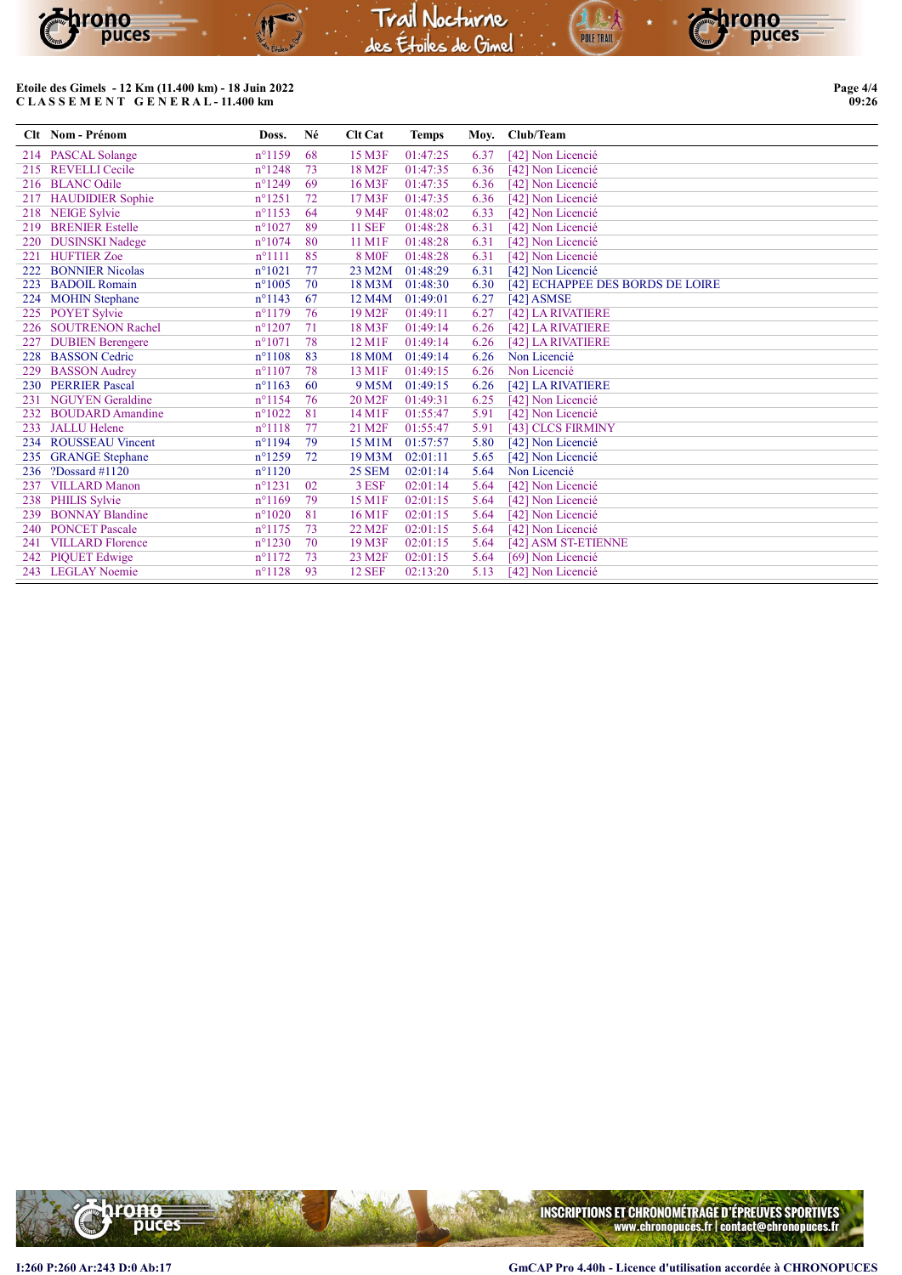| $\mathbf{m}$<br><b>REAL AVENUES</b><br>puces | 11 | TO.<br>הנ | $n_0$<br>puces<br><b>E</b><br><b>Jul TRAIL</b><br><b>GALLAND MATTER</b> |
|----------------------------------------------|----|-----------|-------------------------------------------------------------------------|
|                                              |    |           |                                                                         |

#### Etoile des Gimels - 12 Km (11.400 km) - 18 Juin 2022 C L A S S E M E N T G E N E R A L - 11.400 km

|     | Clt Nom - Prénom        | Doss.            | Né | <b>Clt Cat</b>      | <b>Temps</b> | Moy. | Club/Team                        |
|-----|-------------------------|------------------|----|---------------------|--------------|------|----------------------------------|
|     | 214 PASCAL Solange      | $n^{\circ}$ 1159 | 68 | 15 M3F              | 01:47:25     | 6.37 | [42] Non Licencié                |
| 215 | <b>REVELLI</b> Cecile   | $n^{\circ}$ 1248 | 73 | 18 M <sub>2F</sub>  | 01:47:35     | 6.36 | [42] Non Licencié                |
| 216 | <b>BLANC Odile</b>      | $n^{\circ}$ 1249 | 69 | 16 M3F              | 01:47:35     | 6.36 | [42] Non Licencié                |
| 217 | <b>HAUDIDIER Sophie</b> | $n^{\circ}$ 1251 | 72 | 17 M3F              | 01:47:35     | 6.36 | [42] Non Licencié                |
| 218 | <b>NEIGE Sylvie</b>     | $n^{\circ}1153$  | 64 | 9 M <sub>4F</sub>   | 01:48:02     | 6.33 | [42] Non Licencié                |
| 219 | <b>BRENIER Estelle</b>  | $n^{\circ}1027$  | 89 | <b>11 SEF</b>       | 01:48:28     | 6.31 | [42] Non Licencié                |
| 220 | <b>DUSINSKI Nadege</b>  | $n^{\circ}1074$  | 80 | 11 M1F              | 01:48:28     | 6.31 | [42] Non Licencié                |
| 221 | <b>HUFTIER Zoe</b>      | $n^{\circ}1111$  | 85 | <b>8 MOF</b>        | 01:48:28     | 6.31 | [42] Non Licencié                |
| 222 | <b>BONNIER Nicolas</b>  | $n^{\circ}1021$  | 77 | 23 M2M              | 01:48:29     | 6.31 | [42] Non Licencié                |
| 223 | <b>BADOIL Romain</b>    | $n^{\circ}1005$  | 70 | 18 M3M              | 01:48:30     | 6.30 | [42] ECHAPPEE DES BORDS DE LOIRE |
| 224 | <b>MOHIN</b> Stephane   | $n^{\circ}1143$  | 67 | 12 M4M              | 01:49:01     | 6.27 | $[42]$ ASMSE                     |
| 225 | <b>POYET Sylvie</b>     | $n^{\circ}1179$  | 76 | 19 M <sub>2</sub> F | 01:49:11     | 6.27 | [42] LA RIVATIERE                |
| 226 | <b>SOUTRENON Rachel</b> | $n^{\circ}1207$  | 71 | 18 M3F              | 01:49:14     | 6.26 | [42] LA RIVATIERE                |
| 227 | <b>DUBIEN Berengere</b> | $n^{\circ}1071$  | 78 | 12 M1F              | 01:49:14     | 6.26 | [42] LA RIVATIERE                |
| 228 | <b>BASSON</b> Cedric    | $n^{\circ}1108$  | 83 | 18 M0M              | 01:49:14     | 6.26 | Non Licencié                     |
| 229 | <b>BASSON</b> Audrey    | $n^{\circ}1107$  | 78 | 13 M1F              | 01:49:15     | 6.26 | Non Licencié                     |
| 230 | <b>PERRIER Pascal</b>   | $n^{\circ}1163$  | 60 | 9 M5M               | 01:49:15     | 6.26 | [42] LA RIVATIERE                |
| 231 | <b>NGUYEN</b> Geraldine | $n^{\circ}$ 1154 | 76 | 20 M <sub>2F</sub>  | 01:49:31     | 6.25 | [42] Non Licencié                |
| 232 | <b>BOUDARD</b> Amandine | $n^{\circ}1022$  | 81 | 14 M1F              | 01:55:47     | 5.91 | [42] Non Licencié                |
| 233 | <b>JALLU Helene</b>     | $n^{\circ}1118$  | 77 | 21 M <sub>2F</sub>  | 01:55:47     | 5.91 | [43] CLCS FIRMINY                |
| 234 | <b>ROUSSEAU Vincent</b> | $n^{\circ}1194$  | 79 | 15 M1M              | 01:57:57     | 5.80 | [42] Non Licencié                |
| 235 | <b>GRANGE</b> Stephane  | $n^{\circ}$ 1259 | 72 | 19 M3M              | 02:01:11     | 5.65 | [42] Non Licencié                |
| 236 | ?Dossard $#1120$        | $n^{\circ}1120$  |    | 25 SEM              | 02:01:14     | 5.64 | Non Licencié                     |
| 237 | <b>VILLARD</b> Manon    | $n^{\circ}1231$  | 02 | 3 ESF               | 02:01:14     | 5.64 | [42] Non Licencié                |
| 238 | <b>PHILIS Sylvie</b>    | $n^{\circ}1169$  | 79 | 15 M1F              | 02:01:15     | 5.64 | [42] Non Licencié                |
| 239 | <b>BONNAY Blandine</b>  | $n^{\circ}1020$  | 81 | 16 M1F              | 02:01:15     | 5.64 | [42] Non Licencié                |
| 240 | <b>PONCET Pascale</b>   | $n^{\circ}1175$  | 73 | 22 M <sub>2F</sub>  | 02:01:15     | 5.64 | [42] Non Licencié                |
| 241 | <b>VILLARD Florence</b> | $n^{\circ}$ 1230 | 70 | 19 M3F              | 02:01:15     | 5.64 | [42] ASM ST-ETIENNE              |
| 242 | <b>PIQUET Edwige</b>    | $n^{\circ}1172$  | 73 | 23 M <sub>2F</sub>  | 02:01:15     | 5.64 | [69] Non Licencié                |
| 243 | <b>LEGLAY Noemie</b>    | $n^{\circ}1128$  | 93 | <b>12 SEF</b>       | 02:13:20     | 5.13 | [42] Non Licencié                |



Page 4/4 09:26